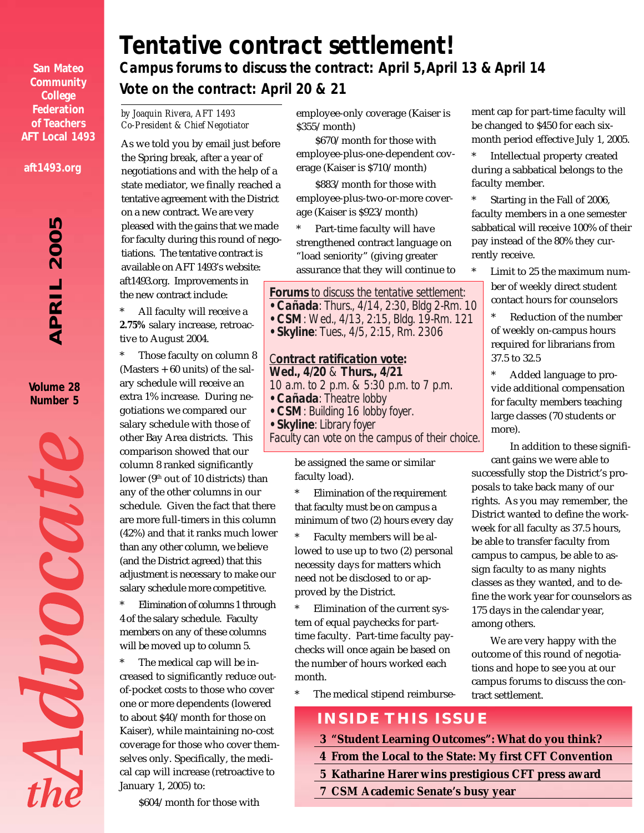**San Mateo Community College Federation of Teachers AFT Local 1493**

**aft1493.org**

# 5 *APRIL 2005* 200 PRIL  $\blacktriangleleft$

**Volume 28 Number 5**



### *Campus forums to discuss the contract: April 5, April 13 & April 14 Tentative contract settlement!*

*Vote on the contract: April 20 & 21*

*by Joaquin Rivera, AFT 1493 Co-President & Chief Negotiator*

As we told you by email just before the Spring break, after a year of negotiations and with the help of a state mediator, we finally reached a tentative agreement with the District on a new contract. We are very pleased with the gains that we made for faculty during this round of negotiations. The tentative contract is available on AFT 1493's website: aft1493.org. Improvements in the new contract include:

All faculty will receive a **2.75%** salary increase, retroactive to August 2004.

Those faculty on column 8 (Masters + 60 units) of the salary schedule will receive an extra 1% increase. During negotiations we compared our salary schedule with those of other Bay Area districts. This comparison showed that our column 8 ranked significantly

lower ( $9<sup>th</sup>$  out of 10 districts) than any of the other columns in our schedule. Given the fact that there are more full-timers in this column (42%) and that it ranks much lower than any other column, we believe (and the District agreed) that this adjustment is necessary to make our salary schedule more competitive.

Elimination of columns 1 through 4 of the salary schedule. Faculty members on any of these columns will be moved up to column 5.

\* The medical cap will be increased to significantly reduce outof-pocket costs to those who cover one or more dependents (lowered to about \$40/month for those on Kaiser), while maintaining no-cost coverage for those who cover themselves only. Specifically, the medical cap will increase (retroactive to January 1, 2005) to:

\$604/month for those with

employee-only coverage (Kaiser is \$355/month)

\$670/month for those with employee-plus-one-dependent coverage (Kaiser is \$710/month)

\$883/month for those with employee-plus-two-or-more coverage (Kaiser is \$923/month)

Part-time faculty will have strengthened contract language on "load seniority" (giving greater assurance that they will continue to

### *Forums to discuss the tentative settlement:*

*• Cañada: Thurs., 4/14, 2:30, Bldg 2-Rm. 10*

- *CSM: Wed., 4/13, 2:15, Bldg. 19-Rm. 121*
- *Skyline: Tues., 4/5, 2:15, Rm. 2306*

#### *Contract ratification vote: Wed., 4/20 & Thurs., 4/21 10 a.m. to 2 p.m. & 5:30 p.m. to 7 p.m.*

- *Cañada: Theatre lobby*
- *CSM: Building 16 lobby foyer.*
- *Skyline: Library foyer*

*Faculty can vote on the campus of their choice.*

be assigned the same or similar faculty load).

Elimination of the requirement that faculty must be on campus a minimum of two (2) hours every day

Faculty members will be allowed to use up to two (2) personal necessity days for matters which need not be disclosed to or approved by the District.

Elimination of the current system of equal paychecks for parttime faculty. Part-time faculty paychecks will once again be based on the number of hours worked each month.

\* The medical stipend reimburse-

ment cap for part-time faculty will be changed to \$450 for each sixmonth period effective July 1, 2005.

Intellectual property created during a sabbatical belongs to the faculty member.

Starting in the Fall of 2006, faculty members in a one semester sabbatical will receive 100% of their pay instead of the 80% they currently receive.

Limit to 25 the maximum number of weekly direct student contact hours for counselors

Reduction of the number of weekly on-campus hours required for librarians from 37.5 to 32.5

Added language to provide additional compensation for faculty members teaching large classes (70 students or more).

In addition to these significant gains we were able to

successfully stop the District's proposals to take back many of our rights. As you may remember, the District wanted to define the workweek for all faculty as 37.5 hours, be able to transfer faculty from campus to campus, be able to assign faculty to as many nights classes as they wanted, and to define the work year for counselors as 175 days in the calendar year, among others.

We are very happy with the outcome of this round of negotiations and hope to see you at our campus forums to discuss the contract settlement.

**INSIDE THIS ISSUE**

- **3 "Student Learning Outcomes": What do you think?**
- **4 From the Local to the State: My first CFT Convention**
- **5 Katharine Harer wins prestigious CFT press award**
- **7 CSM Academic Senate's busy year**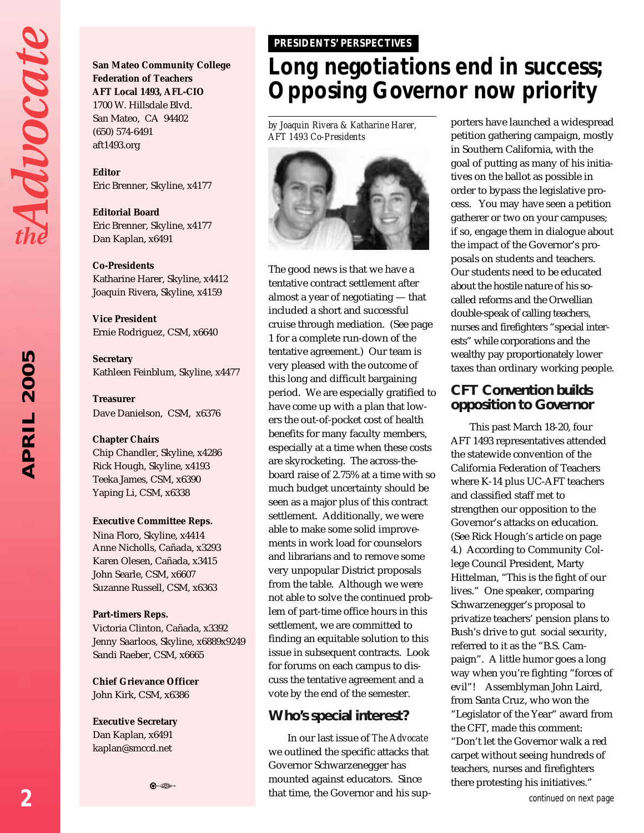Advocat

2005 *APRIL 2005* APRIL **San Mateo Community College Federation of Teachers AFT Local 1493, AFL-CIO** 1700 W. Hillsdale Blvd. San Mateo, CA 94402 (650) 574-6491 aft1493.org

**Editor** Eric Brenner, Skyline, x4177

**Editorial Board** Eric Brenner, Skyline, x4177 Dan Kaplan, x6491

**Co-Presidents**

Katharine Harer, Skyline, x4412 Joaquin Rivera, Skyline, x4159

**Vice President** Ernie Rodriguez, CSM, x6640

**Secretary** Kathleen Feinblum, Skyline, x4477

**Treasurer** Dave Danielson, CSM, x6376

**Chapter Chairs** Chip Chandler, Skyline, x4286 Rick Hough, Skyline, x4193 Teeka James, CSM, x6390

#### **Executive Committee Reps.**

Yaping Li, CSM, x6338

Nina Floro, Skyline, x4414 Anne Nicholls, Cañada, x3293 Karen Olesen, Cañada, x3415 John Searle, CSM, x6607 Suzanne Russell, CSM, x6363

#### **Part-timers Reps.**

Victoria Clinton, Cañada, x3392 Jenny Saarloos, Skyline, x6889x9249 Sandi Raeber, CSM, x6665

**Chief Grievance Officer** John Kirk, CSM, x6386

**Executive Secretary** Dan Kaplan, x6491 kaplan@smccd.net



#### *PRESIDENTS' PERSPECTIVES*

### *Long negotiations end in success; Opposing Governor now priority*

*by Joaquin Rivera & Katharine Harer, AFT 1493 Co-Presidents*



The good news is that we have a tentative contract settlement after almost a year of negotiating — that included a short and successful cruise through mediation. (See page 1 for a complete run-down of the tentative agreement.) Our team is very pleased with the outcome of this long and difficult bargaining period. We are especially gratified to have come up with a plan that lowers the out-of-pocket cost of health benefits for many faculty members, especially at a time when these costs are skyrocketing. The across-theboard raise of 2.75% at a time with so much budget uncertainty should be seen as a major plus of this contract settlement. Additionally, we were able to make some solid improvements in work load for counselors and librarians and to remove some very unpopular District proposals from the table. Although we were not able to solve the continued problem of part-time office hours in this settlement, we are committed to finding an equitable solution to this issue in subsequent contracts. Look for forums on each campus to discuss the tentative agreement and a vote by the end of the semester.

#### **Who's special interest?**

In our last issue of *The Advocate* we outlined the specific attacks that Governor Schwarzenegger has mounted against educators. Since that time, the Governor and his supporters have launched a widespread petition gathering campaign, mostly in Southern California, with the goal of putting as many of his initiatives on the ballot as possible in order to bypass the legislative process. You may have seen a petition gatherer or two on your campuses; if so, engage them in dialogue about the impact of the Governor's proposals on students and teachers. Our students need to be educated about the hostile nature of his socalled reforms and the Orwellian double-speak of calling teachers, nurses and firefighters "special interests" while corporations and the wealthy pay proportionately lower taxes than ordinary working people.

#### **CFT Convention builds opposition to Governor**

This past March 18-20, four AFT 1493 representatives attended the statewide convention of the California Federation of Teachers where K-14 plus UC-AFT teachers and classified staff met to strengthen our opposition to the Governor's attacks on education. (See Rick Hough's article on page 4.) According to Community College Council President, Marty Hittelman, "This is the fight of our lives." One speaker, comparing Schwarzenegger's proposal to privatize teachers' pension plans to Bush's drive to gut social security, referred to it as the "B.S. Campaign". A little humor goes a long way when you're fighting "forces of evil"! Assemblyman John Laird, from Santa Cruz, who won the "Legislator of the Year" award from the CFT, made this comment: "Don't let the Governor walk a red carpet without seeing hundreds of teachers, nurses and firefighters there protesting his initiatives."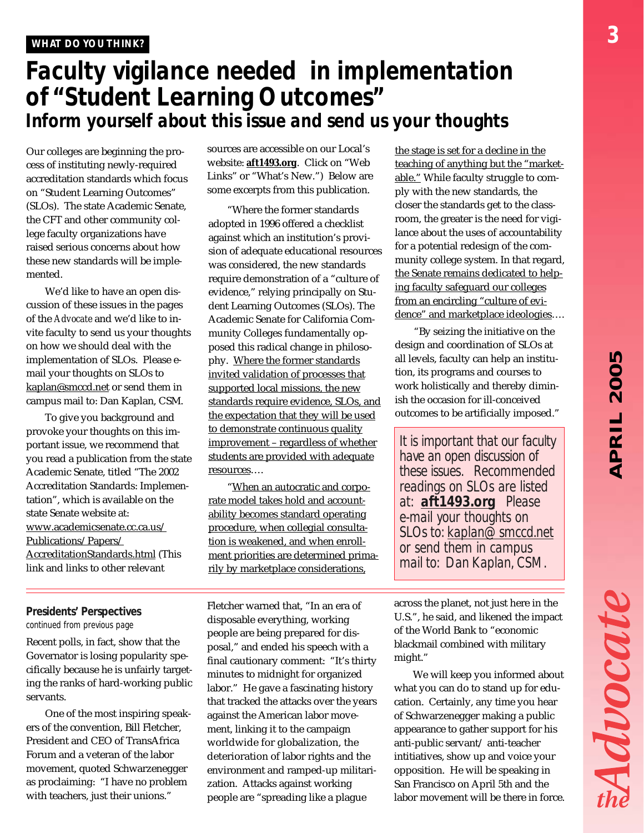Advocate

### *Faculty vigilance needed in implementation of "Student Learning Outcomes" Inform yourself about this issue and send us your thoughts*

Our colleges are beginning the process of instituting newly-required accreditation standards which focus on "Student Learning Outcomes" (SLOs). The state Academic Senate, the CFT and other community college faculty organizations have raised serious concerns about how these new standards will be implemented.

We'd like to have an open discussion of these issues in the pages of the *Advocate* and we'd like to invite faculty to send us your thoughts on how we should deal with the implementation of SLOs. Please email your thoughts on SLOs to kaplan@smccd.net or send them in campus mail to: Dan Kaplan, CSM.

To give you background and provoke your thoughts on this important issue, we recommend that you read a publication from the state Academic Senate, titled "The 2002 Accreditation Standards: Implementation", which is available on the state Senate website at: www.academicsenate.cc.ca.us/ Publications/Papers/ AccreditationStandards.html (This link and links to other relevant

sources are accessible on our Local's website: **aft1493.org**. Click on "Web Links" or "What's New.") Below are some excerpts from this publication.

"Where the former standards adopted in 1996 offered a checklist against which an institution's provision of adequate educational resources was considered, the new standards require demonstration of a "culture of evidence," relying principally on Student Learning Outcomes (SLOs). The Academic Senate for California Community Colleges fundamentally opposed this radical change in philosophy. Where the former standards invited validation of processes that supported local missions, the new standards require evidence, SLOs, and the expectation that they will be used to demonstrate continuous quality improvement – regardless of whether students are provided with adequate resources….

"When an autocratic and corporate model takes hold and accountability becomes standard operating procedure, when collegial consultation is weakened, and when enrollment priorities are determined primarily by marketplace considerations,

*continued from previous page Presidents' Perspectives*

Recent polls, in fact, show that the Governator is losing popularity specifically because he is unfairly targeting the ranks of hard-working public servants.

One of the most inspiring speakers of the convention, Bill Fletcher, President and CEO of TransAfrica Forum and a veteran of the labor movement, quoted Schwarzenegger as proclaiming: "I have no problem with teachers, just their unions."

Fletcher warned that, "In an era of disposable everything, working people are being prepared for disposal," and ended his speech with a final cautionary comment: "It's thirty minutes to midnight for organized labor." He gave a fascinating history that tracked the attacks over the years against the American labor movement, linking it to the campaign worldwide for globalization, the deterioration of labor rights and the environment and ramped-up militarization. Attacks against working people are "spreading like a plague

the stage is set for a decline in the teaching of anything but the "marketable." While faculty struggle to comply with the new standards, the closer the standards get to the classroom, the greater is the need for vigilance about the uses of accountability for a potential redesign of the community college system. In that regard, the Senate remains dedicated to helping faculty safeguard our colleges from an encircling "culture of evidence" and marketplace ideologies….

"By seizing the initiative on the design and coordination of SLOs at all levels, faculty can help an institution, its programs and courses to work holistically and thereby diminish the occasion for ill-conceived outcomes to be artificially imposed."

*It is important that our faculty have an open discussion of these issues. Recommended readings on SLOs are listed at: aft1493.org Please e-mail your thoughts on SLOs to: kaplan@smccd.net or send them in campus mail to: Dan Kaplan, CSM.*

across the planet, not just here in the U.S.", he said, and likened the impact of the World Bank to "economic blackmail combined with military might."

We will keep you informed about what you can do to stand up for education. Certainly, any time you hear of Schwarzenegger making a public appearance to gather support for his anti-public servant/ anti-teacher intitiatives, show up and voice your opposition. He will be speaking in San Francisco on April 5th and the labor movement will be there in force.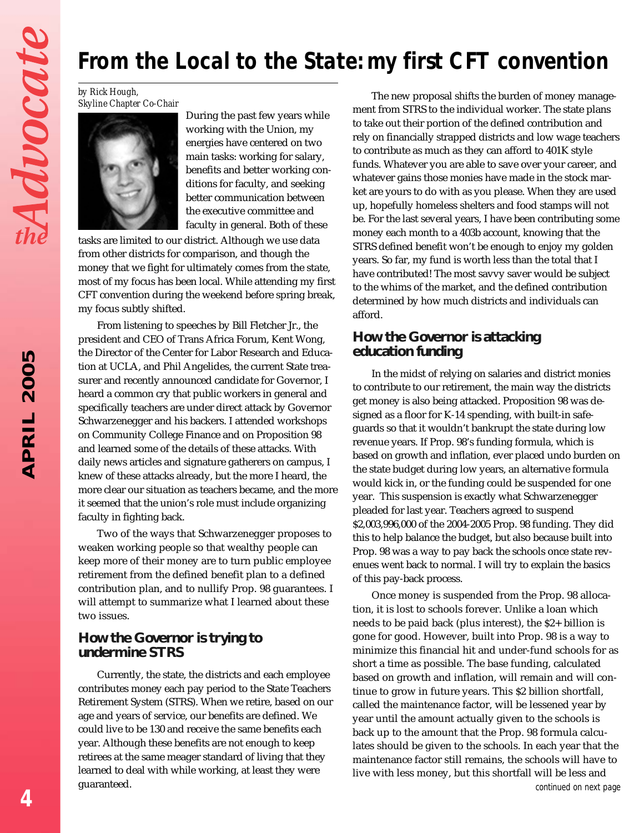# *From the Local to the State: my first CFT convention*

*by Rick Hough, Skyline Chapter Co-Chair*



During the past few years while working with the Union, my energies have centered on two main tasks: working for salary, benefits and better working conditions for faculty, and seeking better communication between the executive committee and faculty in general. Both of these

tasks are limited to our district. Although we use data from other districts for comparison, and though the money that we fight for ultimately comes from the state, most of my focus has been local. While attending my first CFT convention during the weekend before spring break, my focus subtly shifted.

From listening to speeches by Bill Fletcher Jr., the president and CEO of Trans Africa Forum, Kent Wong, the Director of the Center for Labor Research and Education at UCLA, and Phil Angelides, the current State treasurer and recently announced candidate for Governor, I heard a common cry that public workers in general and specifically teachers are under direct attack by Governor Schwarzenegger and his backers. I attended workshops on Community College Finance and on Proposition 98 and learned some of the details of these attacks. With daily news articles and signature gatherers on campus, I knew of these attacks already, but the more I heard, the more clear our situation as teachers became, and the more it seemed that the union's role must include organizing faculty in fighting back.

Two of the ways that Schwarzenegger proposes to weaken working people so that wealthy people can keep more of their money are to turn public employee retirement from the defined benefit plan to a defined contribution plan, and to nullify Prop. 98 guarantees. I will attempt to summarize what I learned about these two issues.

#### **How the Governor is trying to undermine STRS**

Currently, the state, the districts and each employee contributes money each pay period to the State Teachers Retirement System (STRS). When we retire, based on our age and years of service, our benefits are defined. We could live to be 130 and receive the same benefits each year. Although these benefits are not enough to keep retirees at the same meager standard of living that they learned to deal with while working, at least they were guaranteed.

The new proposal shifts the burden of money management from STRS to the individual worker. The state plans to take out their portion of the defined contribution and rely on financially strapped districts and low wage teachers to contribute as much as they can afford to 401K style funds. Whatever you are able to save over your career, and whatever gains those monies have made in the stock market are yours to do with as you please. When they are used up, hopefully homeless shelters and food stamps will not be. For the last several years, I have been contributing some money each month to a 403b account, knowing that the STRS defined benefit won't be enough to enjoy my golden years. So far, my fund is worth less than the total that I have contributed! The most savvy saver would be subject to the whims of the market, and the defined contribution determined by how much districts and individuals can afford.

#### **How the Governor is attacking education funding**

In the midst of relying on salaries and district monies to contribute to our retirement, the main way the districts get money is also being attacked. Proposition 98 was designed as a floor for K-14 spending, with built-in safeguards so that it wouldn't bankrupt the state during low revenue years. If Prop. 98's funding formula, which is based on growth and inflation, ever placed undo burden on the state budget during low years, an alternative formula would kick in, or the funding could be suspended for one year. This suspension is exactly what Schwarzenegger pleaded for last year. Teachers agreed to suspend \$2,003,996,000 of the 2004-2005 Prop. 98 funding. They did this to help balance the budget, but also because built into Prop. 98 was a way to pay back the schools once state revenues went back to normal. I will try to explain the basics of this pay-back process.

Once money is suspended from the Prop. 98 allocation, it is lost to schools forever. Unlike a loan which needs to be paid back (plus interest), the \$2+ billion is gone for good. However, built into Prop. 98 is a way to minimize this financial hit and under-fund schools for as short a time as possible. The base funding, calculated based on growth and inflation, will remain and will continue to grow in future years. This \$2 billion shortfall, called the maintenance factor, will be lessened year by year until the amount actually given to the schools is back up to the amount that the Prop. 98 formula calculates should be given to the schools. In each year that the maintenance factor still remains, the schools will have to live with less money, but this shortfall will be less and *continued on next page*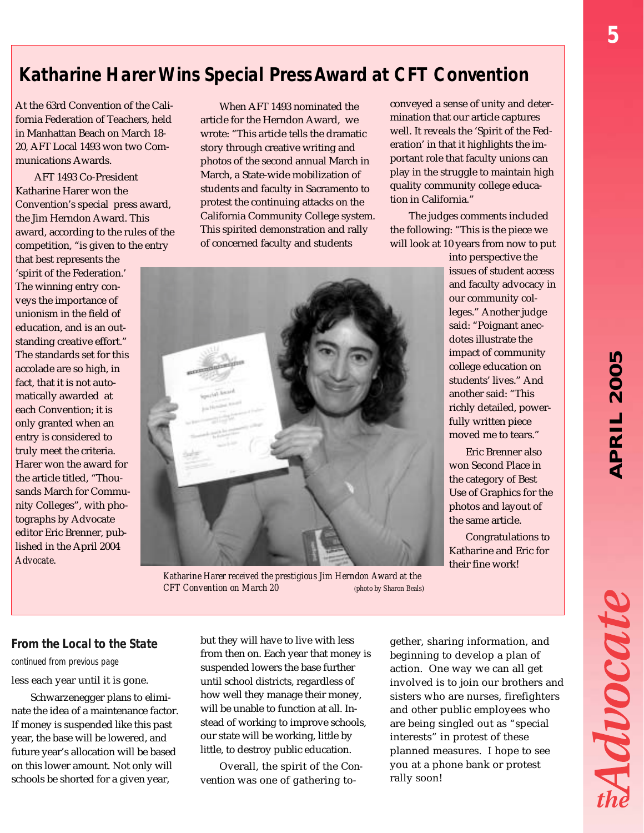*5*

### *Katharine Harer Wins Special Press Award at CFT Convention*

At the 63rd Convention of the California Federation of Teachers, held in Manhattan Beach on March 18- 20, AFT Local 1493 won two Communications Awards.

AFT 1493 Co-President Katharine Harer won the Convention's special press award, the Jim Herndon Award. This award, according to the rules of the competition, "is given to the entry

that best represents the 'spirit of the Federation.' The winning entry conveys the importance of unionism in the field of education, and is an outstanding creative effort." The standards set for this accolade are so high, in fact, that it is not automatically awarded at each Convention; it is only granted when an entry is considered to truly meet the criteria. Harer won the award for the article titled, "Thousands March for Community Colleges", with photographs by Advocate editor Eric Brenner, published in the April 2004 *Advocate*.

When AFT 1493 nominated the article for the Herndon Award, we wrote: "This article tells the dramatic story through creative writing and photos of the second annual March in March, a State-wide mobilization of students and faculty in Sacramento to protest the continuing attacks on the California Community College system. This spirited demonstration and rally of concerned faculty and students

conveyed a sense of unity and determination that our article captures well. It reveals the 'Spirit of the Federation' in that it highlights the important role that faculty unions can play in the struggle to maintain high quality community college education in California."

The judges comments included the following: "This is the piece we will look at 10 years from now to put

into perspective the issues of student access and faculty advocacy in our community colleges." Another judge said: "Poignant anecdotes illustrate the impact of community college education on students' lives." And another said: "This richly detailed, powerfully written piece moved me to tears."

Eric Brenner also won Second Place in the category of Best Use of Graphics for the photos and layout of the same article.

Congratulations to Katharine and Eric for their fine work!

*continued from previous page*

less each year until it is gone.

Schwarzenegger plans to eliminate the idea of a maintenance factor. If money is suspended like this past year, the base will be lowered, and future year's allocation will be based on this lower amount. Not only will schools be shorted for a given year,

but they will have to live with less from then on. Each year that money is suspended lowers the base further until school districts, regardless of how well they manage their money, will be unable to function at all. Instead of working to improve schools, our state will be working, little by little, to destroy public education. **From the Local to the State** but they will have to live with less gether, sharing information, and

> Overall, the spirit of the Convention was one of gathering to-

beginning to develop a plan of action. One way we can all get involved is to join our brothers and sisters who are nurses, firefighters and other public employees who are being singled out as "special interests" in protest of these planned measures. I hope to see you at a phone bank or protest rally soon!

Avocat

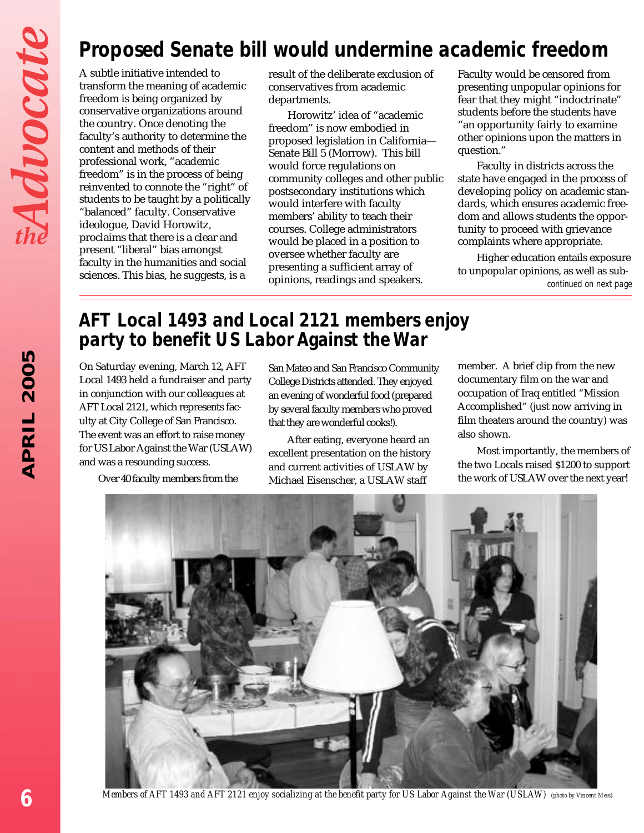# *Proposed Senate bill would undermine academic freedom*

A subtle initiative intended to transform the meaning of academic freedom is being organized by conservative organizations around the country. Once denoting the faculty's authority to determine the content and methods of their professional work, "academic freedom" is in the process of being reinvented to connote the "right" of students to be taught by a politically "balanced" faculty. Conservative ideologue, David Horowitz, proclaims that there is a clear and present "liberal" bias amongst faculty in the humanities and social sciences. This bias, he suggests, is a

result of the deliberate exclusion of conservatives from academic departments.

Horowitz' idea of "academic freedom" is now embodied in proposed legislation in California— Senate Bill 5 (Morrow). This bill would force regulations on community colleges and other public postsecondary institutions which would interfere with faculty members' ability to teach their courses. College administrators would be placed in a position to oversee whether faculty are presenting a sufficient array of opinions, readings and speakers.

Faculty would be censored from presenting unpopular opinions for fear that they might "indoctrinate" students before the students have "an opportunity fairly to examine other opinions upon the matters in question."

Faculty in districts across the state have engaged in the process of developing policy on academic standards, which ensures academic freedom and allows students the opportunity to proceed with grievance complaints where appropriate.

Higher education entails exposure to unpopular opinions, as well as sub*continued on next page*

### *AFT Local 1493 and Local 2121 members enjoy party to benefit US Labor Against the War*

On Saturday evening, March 12, AFT Local 1493 held a fundraiser and party in conjunction with our colleagues at AFT Local 2121, which represents faculty at City College of San Francisco. The event was an effort to raise money for US Labor Against the War (USLAW) and was a resounding success.

Over 40 faculty members from the

San Mateo and San Francisco Community College Districts attended. They enjoyed an evening of wonderful food (prepared by several faculty members who proved that they are wonderful cooks!).

After eating, everyone heard an excellent presentation on the history and current activities of USLAW by Michael Eisenscher, a USLAW staff

member. A brief clip from the new documentary film on the war and occupation of Iraq entitled "Mission Accomplished" (just now arriving in film theaters around the country) was also shown.

Most importantly, the members of the two Locals raised \$1200 to support the work of USLAW over the next year!



*Members of AFT 1493 and AFT 2121 enjoy socializing at the benefit party for US Labor Against the War (USLAW) (photo by Vincent Meis)*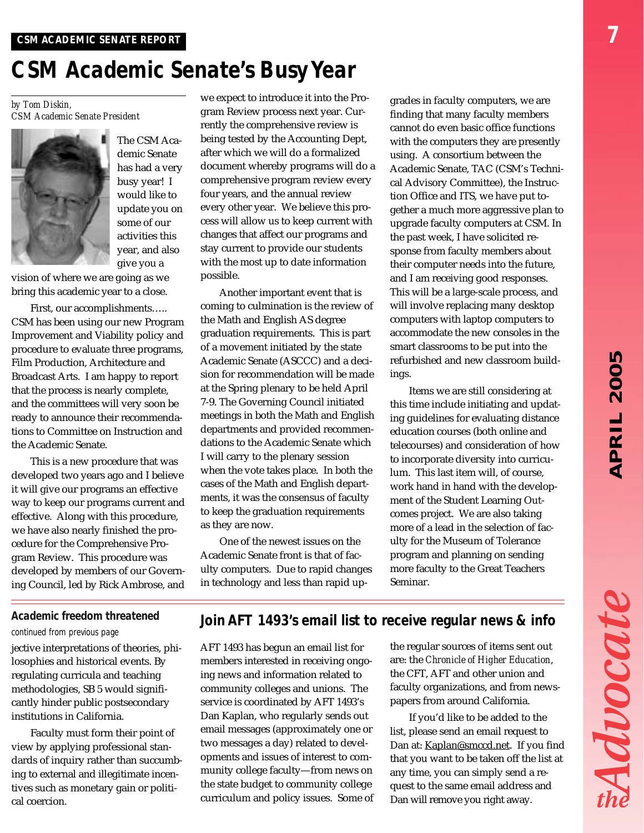Advocat

# *CSM Academic Senate's Busy Year*

*by Tom Diskin, CSM Academic Senate President*



The CSM Academic Senate has had a very busy year! I would like to update you on some of our activities this year, and also give you a

vision of where we are going as we bring this academic year to a close.

First, our accomplishments….. CSM has been using our new Program Improvement and Viability policy and procedure to evaluate three programs, Film Production, Architecture and Broadcast Arts. I am happy to report that the process is nearly complete, and the committees will very soon be ready to announce their recommendations to Committee on Instruction and the Academic Senate.

This is a new procedure that was developed two years ago and I believe it will give our programs an effective way to keep our programs current and effective. Along with this procedure, we have also nearly finished the procedure for the Comprehensive Program Review. This procedure was developed by members of our Governing Council, led by Rick Ambrose, and

we expect to introduce it into the Program Review process next year. Currently the comprehensive review is being tested by the Accounting Dept, after which we will do a formalized document whereby programs will do a comprehensive program review every four years, and the annual review every other year. We believe this process will allow us to keep current with changes that affect our programs and stay current to provide our students with the most up to date information possible.

Another important event that is coming to culmination is the review of the Math and English AS degree graduation requirements. This is part of a movement initiated by the state Academic Senate (ASCCC) and a decision for recommendation will be made at the Spring plenary to be held April 7-9. The Governing Council initiated meetings in both the Math and English departments and provided recommendations to the Academic Senate which I will carry to the plenary session when the vote takes place. In both the cases of the Math and English departments, it was the consensus of faculty to keep the graduation requirements as they are now.

One of the newest issues on the Academic Senate front is that of faculty computers. Due to rapid changes in technology and less than rapid upgrades in faculty computers, we are finding that many faculty members cannot do even basic office functions with the computers they are presently using. A consortium between the Academic Senate, TAC (CSM's Technical Advisory Committee), the Instruction Office and ITS, we have put together a much more aggressive plan to upgrade faculty computers at CSM. In the past week, I have solicited response from faculty members about their computer needs into the future, and I am receiving good responses. This will be a large-scale process, and will involve replacing many desktop computers with laptop computers to accommodate the new consoles in the smart classrooms to be put into the refurbished and new classroom buildings.

Items we are still considering at this time include initiating and updating guidelines for evaluating distance education courses (both online and telecourses) and consideration of how to incorporate diversity into curriculum. This last item will, of course, work hand in hand with the development of the Student Learning Outcomes project. We are also taking more of a lead in the selection of faculty for the Museum of Tolerance program and planning on sending more faculty to the Great Teachers Seminar.

#### *Academic freedom threatened*

#### *continued from previous page*

jective interpretations of theories, philosophies and historical events. By regulating curricula and teaching methodologies, SB 5 would significantly hinder public postsecondary institutions in California.

Faculty must form their point of view by applying professional standards of inquiry rather than succumbing to external and illegitimate incentives such as monetary gain or political coercion.

### *Join AFT 1493's email list to receive regular news & info*

AFT 1493 has begun an email list for members interested in receiving ongoing news and information related to community colleges and unions. The service is coordinated by AFT 1493's Dan Kaplan, who regularly sends out email messages (approximately one or two messages a day) related to developments and issues of interest to community college faculty—from news on the state budget to community college curriculum and policy issues. Some of

the regular sources of items sent out are: the *Chronicle of Higher Education*, the CFT, AFT and other union and faculty organizations, and from newspapers from around California.

If you'd like to be added to the list, please send an email request to Dan at: Kaplan@smccd.net. If you find that you want to be taken off the list at any time, you can simply send a request to the same email address and Dan will remove you right away.